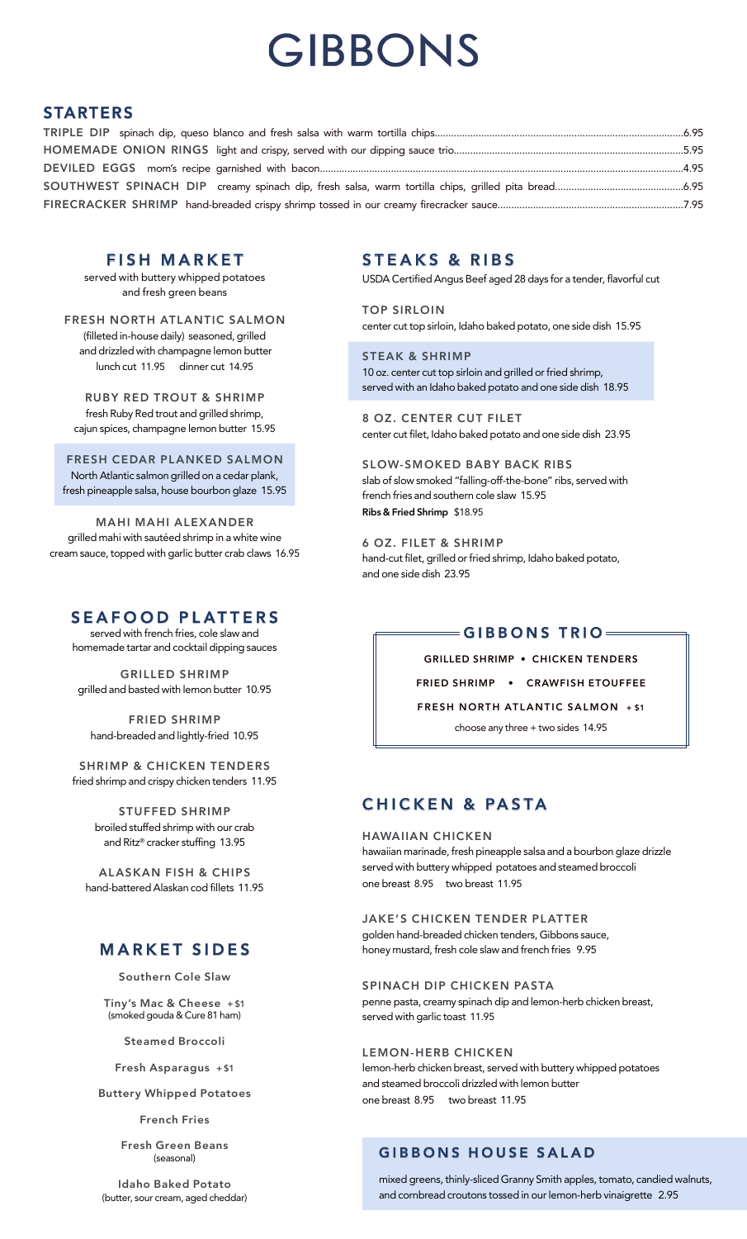# **MARKET SIDES**

**Southern Cole Slaw**

**Tiny's Mac & Cheese + \$1** (smoked gouda & Cure 81 ham)

**Steamed Broccoli**

**Fresh Asparagus + \$1**

**Buttery Whipped Potatoes**

**French Fries**

**Fresh Green Beans** (seasonal)

**Idaho Baked Potato** (butter, sour cream, aged cheddar)

# **SEAFOOD PLATTERS**

served with french fries, cole slaw and homemade tartar and cocktail dipping sauces

**GRILLED SHRIMP** grilled and basted with lemon butter 10.95

**FRIED SHRIMP** hand-breaded and lightly-fried 10.95

**SHRIMP & CHICKEN TENDERS** fried shrimp and crispy chicken tenders 11.95

> **STUFFED SHRIMP** broiled stuffed shrimp with our crab and Ritz® cracker stuffing 13.95

**ALASKAN FISH & CHIPS** hand-battered Alaskan cod fillets 11.95

### **FISH MARKET**

served with buttery whipped potatoes and fresh green beans

**FRESH NORTH ATLANTIC SALMON** (filleted in-house daily) seasoned, grilled and drizzled with champagne lemon butter lunch cut 11.95 dinner cut 14.95

**RUBY RED TROUT & SHRIMP** fresh Ruby Red trout and grilled shrimp, cajun spices, champagne lemon butter 15.95

**FRESH CEDAR PLANKED SALMON** North Atlantic salmon grilled on a cedar plank, fresh pineapple salsa, house bourbon glaze 15.95

**MAHI MAHI ALEXANDER** grilled mahi with sautéed shrimp in a white wine cream sauce, topped with garlic butter crab claws 16.95

# **CHICKEN & PASTA**

#### **HAWAIIAN CHICKEN**

hawaiian marinade, fresh pineapple salsa and a bourbon glaze drizzle served with buttery whipped potatoes and steamed broccoli one breast 8.95 two breast 11.95

**JAKE'S CHICKEN TENDER PLATTER**

golden hand-breaded chicken tenders, Gibbons sauce, honey mustard, fresh cole slaw and french fries 9.95

#### **SPINACH DIP CHICKEN PASTA**

penne pasta, creamy spinach dip and lemon-herb chicken breast, served with garlic toast 11.95

#### **LEMON-HERB CHICKEN**

lemon-herb chicken breast, served with buttery whipped potatoes and steamed broccoli drizzled with lemon butter one breast 8.95 two breast 11.95

# GIBBONS

### **STARTERS**

### **GIBBONS TRIO**

| <b>GRILLED SHRIMP • CHICKEN TENDERS</b> |  |
|-----------------------------------------|--|
|-----------------------------------------|--|

**FRIED SHRIMP • CRAWFISH ETOUFFEE**

**FRESH NORTH ATLANTIC SALMON + \$1**

choose any three + two sides 14.95

### **STEAKS & RIBS**

USDA Certified Angus Beef aged 28 days for a tender, flavorful cut

**TOP SIRLOIN** center cut top sirloin, Idaho baked potato, one side dish 15.95

**STEAK & SHRIMP** 10 oz. center cut top sirloin and grilled or fried shrimp, served with an Idaho baked potato and one side dish 18.95

**8 OZ. CENTER CUT FILET** center cut filet, Idaho baked potato and one side dish 23.95

**SLOW-SMOKED BABY BACK RIBS** slab of slow smoked "falling-off-the-bone" ribs, served with french fries and southern cole slaw 15.95 **Ribs & Fried Shrimp** \$18.95

**6 OZ. FILET & SHRIMP** hand-cut filet, grilled or fried shrimp, Idaho baked potato, and one side dish 23.95

### **GIBBONS HOUSE SALAD**

mixed greens, thinly-sliced Granny Smith apples, tomato, candied walnuts, and cornbread croutons tossed in our lemon-herb vinaigrette 2.95